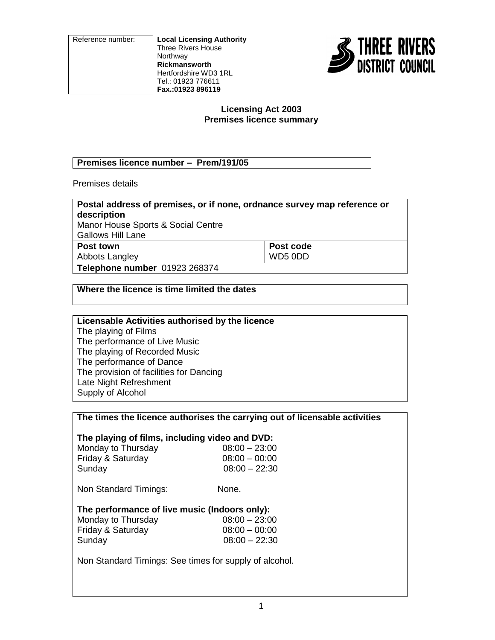Reference number: **Local Licensing Authority** Three Rivers House Northway **Rickmansworth** Hertfordshire WD3 1RL Tel.: 01923 776611 **Fax.:01923 896119**



### **Licensing Act 2003 Premises licence summary**

### **Premises licence number – Prem/191/05**

Premises details

| Postal address of premises, or if none, ordnance survey map reference or |           |
|--------------------------------------------------------------------------|-----------|
| description                                                              |           |
| Manor House Sports & Social Centre                                       |           |
| <b>Gallows Hill Lane</b>                                                 |           |
| Post town                                                                | Post code |
| Abbots Langley                                                           | WD5 0DD   |
| Telephone number 01923 268374                                            |           |

### **Where the licence is time limited the dates**

| Licensable Activities authorised by the licence |
|-------------------------------------------------|
| The playing of Films                            |
| The performance of Live Music                   |
| The playing of Recorded Music                   |
| The performance of Dance                        |
| The provision of facilities for Dancing         |
| Late Night Refreshment                          |
| Supply of Alcohol                               |

### **The times the licence authorises the carrying out of licensable activities**

# **The playing of films, including video and DVD:**

| Monday to Thursday | $08:00 - 23:00$ |
|--------------------|-----------------|
| Friday & Saturday  | $08:00 - 00:00$ |
| Sunday             | $08:00 - 22:30$ |

Non Standard Timings: None.

# **The performance of live music (Indoors only):**

| Monday to Thursday | $08:00 - 23:00$ |
|--------------------|-----------------|
| Friday & Saturday  | $08:00 - 00:00$ |
| Sunday             | $08:00 - 22:30$ |

Non Standard Timings: See times for supply of alcohol.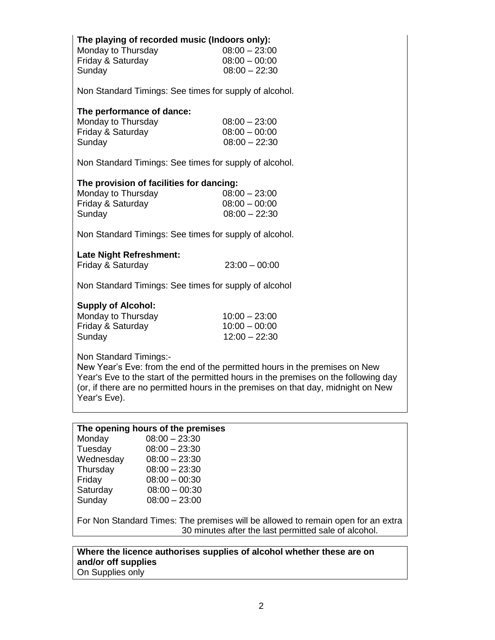| The playing of recorded music (Indoors only):<br>Monday to Thursday<br>Friday & Saturday<br>Sunday                                                      | $08:00 - 23:00$<br>$08:00 - 00:00$<br>$08:00 - 22:30$                      |
|---------------------------------------------------------------------------------------------------------------------------------------------------------|----------------------------------------------------------------------------|
| Non Standard Timings: See times for supply of alcohol.                                                                                                  |                                                                            |
| The performance of dance:<br>Monday to Thursday<br>Friday & Saturday<br>Sunday                                                                          | $08:00 - 23:00$<br>$08:00 - 00:00$<br>$08:00 - 22:30$                      |
| Non Standard Timings: See times for supply of alcohol.                                                                                                  |                                                                            |
| The provision of facilities for dancing:<br>Monday to Thursday<br>Friday & Saturday<br>Sunday<br>Non Standard Timings: See times for supply of alcohol. | $08:00 - 23:00$<br>$08:00 - 00:00$<br>$08:00 - 22:30$                      |
| <b>Late Night Refreshment:</b><br>Friday & Saturday                                                                                                     | $23:00 - 00:00$                                                            |
| Non Standard Timings: See times for supply of alcohol                                                                                                   |                                                                            |
| <b>Supply of Alcohol:</b><br>Monday to Thursday<br>Friday & Saturday<br>Sunday                                                                          | $10:00 - 23:00$<br>$10:00 - 00:00$<br>$12:00 - 22:30$                      |
| Non Standard Timings:-                                                                                                                                  | New Year's Eve: from the end of the permitted hours in the premises on New |

ed hours in the p Year's Eve to the start of the permitted hours in the premises on the following day (or, if there are no permitted hours in the premises on that day, midnight on New Year's Eve).

|  |  | The opening hours of the premises |
|--|--|-----------------------------------|
|  |  |                                   |

| Monday    | $08:00 - 23:30$ |
|-----------|-----------------|
| Tuesday   | $08:00 - 23:30$ |
| Wednesday | $08:00 - 23:30$ |
| Thursday  | $08:00 - 23:30$ |
| Friday    | $08:00 - 00:30$ |
| Saturday  | $08:00 - 00:30$ |
| Sunday    | $08:00 - 23:00$ |

For Non Standard Times: The premises will be allowed to remain open for an extra 30 minutes after the last permitted sale of alcohol.

**Where the licence authorises supplies of alcohol whether these are on and/or off supplies** On Supplies only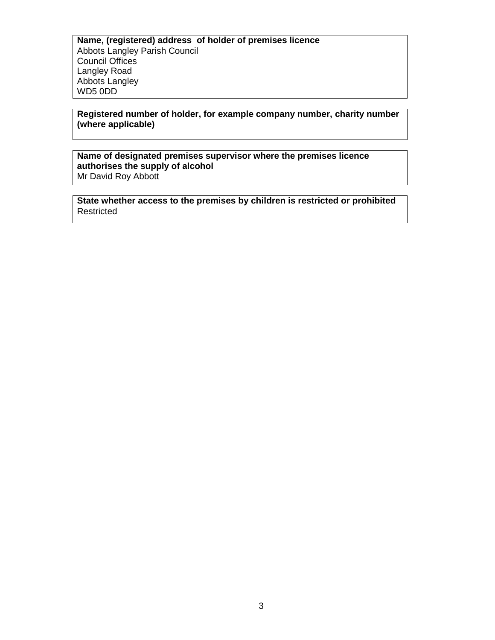**Name, (registered) address of holder of premises licence** Abbots Langley Parish Council Council Offices Langley Road Abbots Langley WD5 0DD

### **Registered number of holder, for example company number, charity number (where applicable)**

### **Name of designated premises supervisor where the premises licence authorises the supply of alcohol** Mr David Roy Abbott

**State whether access to the premises by children is restricted or prohibited** Restricted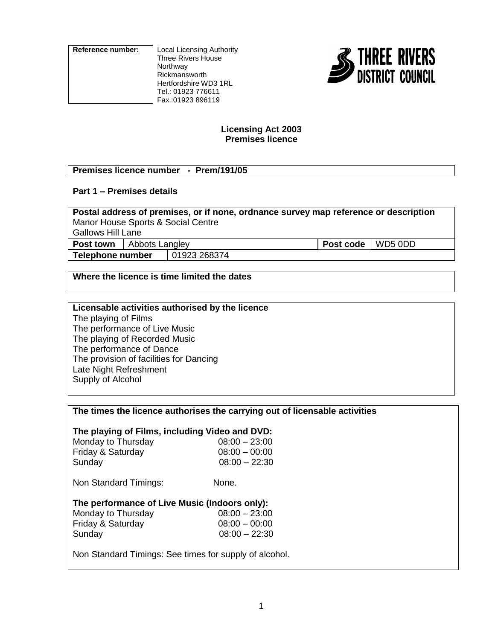**Reference number:** Local Licensing Authority Three Rivers House Northway Rickmansworth Hertfordshire WD3 1RL Tel.: 01923 776611 Fax.:01923 896119



### **Licensing Act 2003 Premises licence**

### **Premises licence number - Prem/191/05**

# **Part 1 – Premises details**

**Postal address of premises, or if none, ordnance survey map reference or description** Manor House Sports & Social Centre Gallows Hill Lane **Post town** | Abbots Langley **Post code** WD5 0DD **Telephone number** 101923 268374

### **Where the licence is time limited the dates**

### **Licensable activities authorised by the licence** The playing of Films

The performance of Live Music The playing of Recorded Music The performance of Dance The provision of facilities for Dancing Late Night Refreshment Supply of Alcohol

### **The times the licence authorises the carrying out of licensable activities**

# **The playing of Films, including Video and DVD:**

| Monday to Thursday | $08:00 - 23:00$ |
|--------------------|-----------------|
| Friday & Saturday  | $08:00 - 00:00$ |
| Sunday             | $08:00 - 22:30$ |

Non Standard Timings: None.

### **The performance of Live Music (Indoors only):**

| $08:00 - 23:00$ |
|-----------------|
| $08:00 - 00:00$ |
| $08:00 - 22:30$ |
|                 |

Non Standard Timings: See times for supply of alcohol.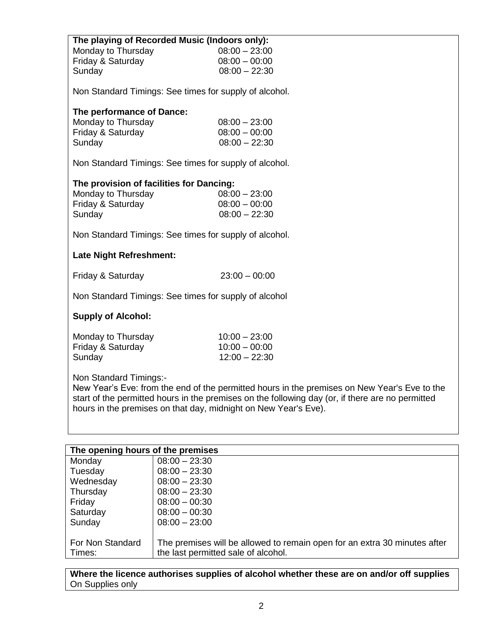| The playing of Recorded Music (Indoors only):<br>Monday to Thursday<br>Friday & Saturday<br>Sunday | $08:00 - 23:00$<br>$08:00 - 00:00$<br>$08:00 - 22:30$                                                                                                                                            |
|----------------------------------------------------------------------------------------------------|--------------------------------------------------------------------------------------------------------------------------------------------------------------------------------------------------|
| Non Standard Timings: See times for supply of alcohol.                                             |                                                                                                                                                                                                  |
| The performance of Dance:<br>Monday to Thursday<br>Friday & Saturday<br>Sunday                     | $08:00 - 23:00$<br>$08:00 - 00:00$<br>$08:00 - 22:30$                                                                                                                                            |
| Non Standard Timings: See times for supply of alcohol.                                             |                                                                                                                                                                                                  |
| The provision of facilities for Dancing:<br>Monday to Thursday<br>Friday & Saturday<br>Sunday      | $08:00 - 23:00$<br>$08:00 - 00:00$<br>$08:00 - 22:30$                                                                                                                                            |
| Non Standard Timings: See times for supply of alcohol.                                             |                                                                                                                                                                                                  |
| <b>Late Night Refreshment:</b>                                                                     |                                                                                                                                                                                                  |
| Friday & Saturday                                                                                  | $23:00 - 00:00$                                                                                                                                                                                  |
| Non Standard Timings: See times for supply of alcohol                                              |                                                                                                                                                                                                  |
| <b>Supply of Alcohol:</b>                                                                          |                                                                                                                                                                                                  |
| Monday to Thursday<br>Friday & Saturday<br>Sunday                                                  | $10:00 - 23:00$<br>$10:00 - 00:00$<br>$12:00 - 22:30$                                                                                                                                            |
| Non Standard Timings:-<br>hours in the premises on that day, midnight on New Year's Eve).          | New Year's Eve: from the end of the permitted hours in the premises on New Year's Eve to the<br>start of the permitted hours in the premises on the following day (or, if there are no permitted |
| The opening hours of the premises                                                                  |                                                                                                                                                                                                  |
|                                                                                                    |                                                                                                                                                                                                  |

| The opening nours of the premises |                                                                           |
|-----------------------------------|---------------------------------------------------------------------------|
| Monday                            | $08:00 - 23:30$                                                           |
| Tuesday                           | $08:00 - 23:30$                                                           |
| Wednesday                         | $08:00 - 23:30$                                                           |
| Thursday                          | $08:00 - 23:30$                                                           |
| Friday                            | $08:00 - 00:30$                                                           |
| Saturday                          | $08:00 - 00:30$                                                           |
| Sunday                            | $08:00 - 23:00$                                                           |
|                                   |                                                                           |
| For Non Standard                  | The premises will be allowed to remain open for an extra 30 minutes after |
| Times:                            | the last permitted sale of alcohol.                                       |
|                                   |                                                                           |

**Where the licence authorises supplies of alcohol whether these are on and/or off supplies** On Supplies only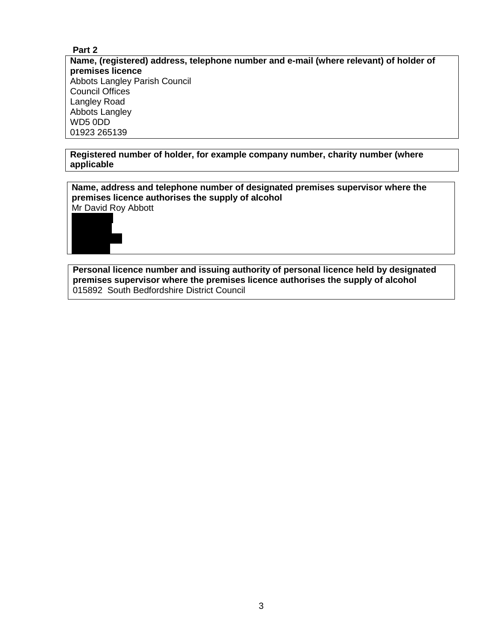### **Part 2**

**Name, (registered) address, telephone number and e-mail (where relevant) of holder of premises licence** Abbots Langley Parish Council Council Offices Langley Road Abbots Langley WD5 0DD 01923 265139

### **Registered number of holder, for example company number, charity number (where applicable**

**Name, address and telephone number of designated premises supervisor where the premises licence authorises the supply of alcohol** Mr David Roy Abbott



**Personal licence number and issuing authority of personal licence held by designated premises supervisor where the premises licence authorises the supply of alcohol** 015892 South Bedfordshire District Council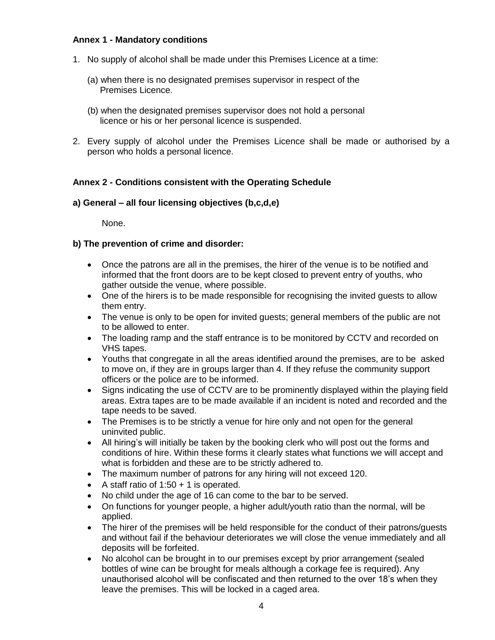### **Annex 1 - Mandatory conditions**

- 1. No supply of alcohol shall be made under this Premises Licence at a time:
	- (a) when there is no designated premises supervisor in respect of the Premises Licence.
	- (b) when the designated premises supervisor does not hold a personal licence or his or her personal licence is suspended.
- 2. Every supply of alcohol under the Premises Licence shall be made or authorised by a person who holds a personal licence.

### **Annex 2 - Conditions consistent with the Operating Schedule**

### **a) General – all four licensing objectives (b,c,d,e)**

None.

### **b) The prevention of crime and disorder:**

- Once the patrons are all in the premises, the hirer of the venue is to be notified and informed that the front doors are to be kept closed to prevent entry of youths, who gather outside the venue, where possible.
- One of the hirers is to be made responsible for recognising the invited guests to allow them entry.
- The venue is only to be open for invited guests; general members of the public are not to be allowed to enter.
- The loading ramp and the staff entrance is to be monitored by CCTV and recorded on VHS tapes.
- Youths that congregate in all the areas identified around the premises, are to be asked to move on, if they are in groups larger than 4. If they refuse the community support officers or the police are to be informed.
- Signs indicating the use of CCTV are to be prominently displayed within the playing field areas. Extra tapes are to be made available if an incident is noted and recorded and the tape needs to be saved.
- The Premises is to be strictly a venue for hire only and not open for the general uninvited public.
- All hiring's will initially be taken by the booking clerk who will post out the forms and conditions of hire. Within these forms it clearly states what functions we will accept and what is forbidden and these are to be strictly adhered to.
- The maximum number of patrons for any hiring will not exceed 120.
- A staff ratio of  $1:50 + 1$  is operated.
- No child under the age of 16 can come to the bar to be served.
- On functions for younger people, a higher adult/youth ratio than the normal, will be applied.
- The hirer of the premises will be held responsible for the conduct of their patrons/quests and without fail if the behaviour deteriorates we will close the venue immediately and all deposits will be forfeited.
- No alcohol can be brought in to our premises except by prior arrangement (sealed bottles of wine can be brought for meals although a corkage fee is required). Any unauthorised alcohol will be confiscated and then returned to the over 18's when they leave the premises. This will be locked in a caged area.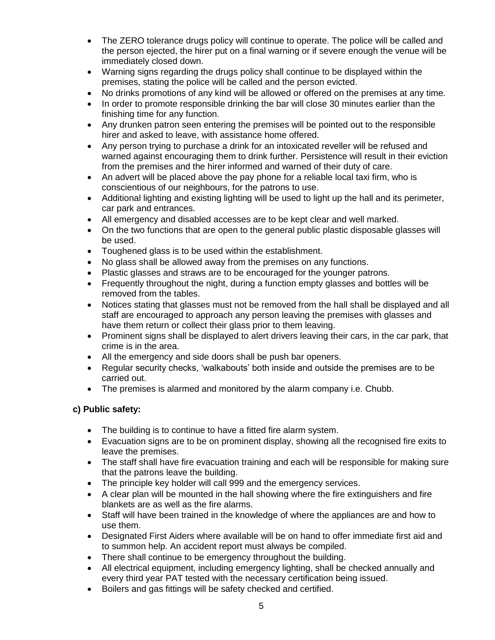- The ZERO tolerance drugs policy will continue to operate. The police will be called and the person ejected, the hirer put on a final warning or if severe enough the venue will be immediately closed down.
- Warning signs regarding the drugs policy shall continue to be displayed within the premises, stating the police will be called and the person evicted.
- No drinks promotions of any kind will be allowed or offered on the premises at any time.
- In order to promote responsible drinking the bar will close 30 minutes earlier than the finishing time for any function.
- Any drunken patron seen entering the premises will be pointed out to the responsible hirer and asked to leave, with assistance home offered.
- Any person trying to purchase a drink for an intoxicated reveller will be refused and warned against encouraging them to drink further. Persistence will result in their eviction from the premises and the hirer informed and warned of their duty of care.
- An advert will be placed above the pay phone for a reliable local taxi firm, who is conscientious of our neighbours, for the patrons to use.
- Additional lighting and existing lighting will be used to light up the hall and its perimeter, car park and entrances.
- All emergency and disabled accesses are to be kept clear and well marked.
- On the two functions that are open to the general public plastic disposable glasses will be used.
- Toughened glass is to be used within the establishment.
- No glass shall be allowed away from the premises on any functions.
- Plastic glasses and straws are to be encouraged for the younger patrons.
- Frequently throughout the night, during a function empty glasses and bottles will be removed from the tables.
- Notices stating that glasses must not be removed from the hall shall be displayed and all staff are encouraged to approach any person leaving the premises with glasses and have them return or collect their glass prior to them leaving.
- Prominent signs shall be displayed to alert drivers leaving their cars, in the car park, that crime is in the area.
- All the emergency and side doors shall be push bar openers.
- Regular security checks, 'walkabouts' both inside and outside the premises are to be carried out.
- The premises is alarmed and monitored by the alarm company i.e. Chubb.

# **c) Public safety:**

- The building is to continue to have a fitted fire alarm system.
- Evacuation signs are to be on prominent display, showing all the recognised fire exits to leave the premises.
- The staff shall have fire evacuation training and each will be responsible for making sure that the patrons leave the building.
- The principle key holder will call 999 and the emergency services.
- A clear plan will be mounted in the hall showing where the fire extinguishers and fire blankets are as well as the fire alarms.
- Staff will have been trained in the knowledge of where the appliances are and how to use them.
- Designated First Aiders where available will be on hand to offer immediate first aid and to summon help. An accident report must always be compiled.
- There shall continue to be emergency throughout the building.
- All electrical equipment, including emergency lighting, shall be checked annually and every third year PAT tested with the necessary certification being issued.
- Boilers and gas fittings will be safety checked and certified.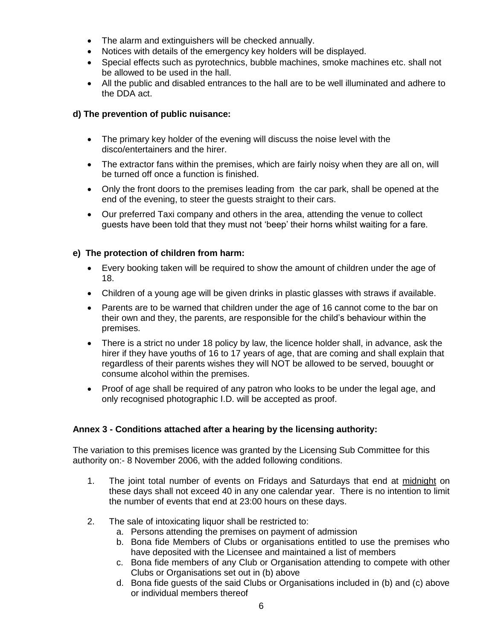- The alarm and extinguishers will be checked annually.
- Notices with details of the emergency key holders will be displayed.
- Special effects such as pyrotechnics, bubble machines, smoke machines etc. shall not be allowed to be used in the hall.
- All the public and disabled entrances to the hall are to be well illuminated and adhere to the DDA act.

### **d) The prevention of public nuisance:**

- The primary key holder of the evening will discuss the noise level with the disco/entertainers and the hirer.
- The extractor fans within the premises, which are fairly noisy when they are all on, will be turned off once a function is finished.
- Only the front doors to the premises leading from the car park, shall be opened at the end of the evening, to steer the guests straight to their cars.
- Our preferred Taxi company and others in the area, attending the venue to collect guests have been told that they must not 'beep' their horns whilst waiting for a fare.

### **e) The protection of children from harm:**

- Every booking taken will be required to show the amount of children under the age of 18.
- Children of a young age will be given drinks in plastic glasses with straws if available.
- Parents are to be warned that children under the age of 16 cannot come to the bar on their own and they, the parents, are responsible for the child's behaviour within the premises.
- There is a strict no under 18 policy by law, the licence holder shall, in advance, ask the hirer if they have youths of 16 to 17 years of age, that are coming and shall explain that regardless of their parents wishes they will NOT be allowed to be served, bouught or consume alcohol within the premises.
- Proof of age shall be required of any patron who looks to be under the legal age, and only recognised photographic I.D. will be accepted as proof.

# **Annex 3 - Conditions attached after a hearing by the licensing authority:**

The variation to this premises licence was granted by the Licensing Sub Committee for this authority on:- 8 November 2006, with the added following conditions.

- 1. The joint total number of events on Fridays and Saturdays that end at midnight on these days shall not exceed 40 in any one calendar year. There is no intention to limit the number of events that end at 23:00 hours on these days.
- 2. The sale of intoxicating liquor shall be restricted to:
	- a. Persons attending the premises on payment of admission
	- b. Bona fide Members of Clubs or organisations entitled to use the premises who have deposited with the Licensee and maintained a list of members
	- c. Bona fide members of any Club or Organisation attending to compete with other Clubs or Organisations set out in (b) above
	- d. Bona fide guests of the said Clubs or Organisations included in (b) and (c) above or individual members thereof